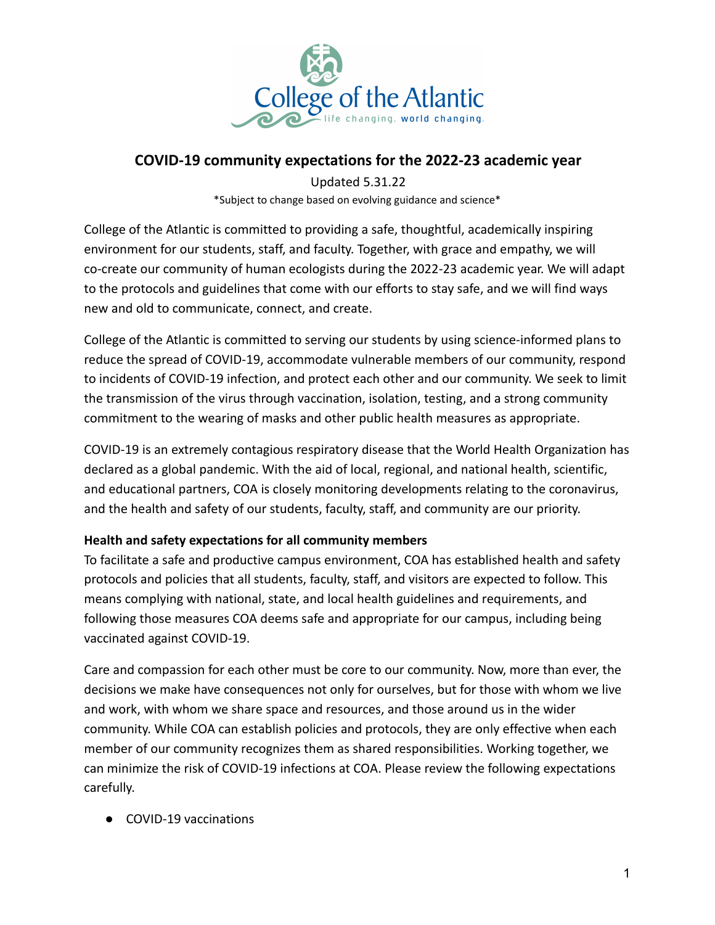

## **COVID-19 community expectations for the 2022-23 academic year**

Updated 5.31.22

\*Subject to change based on evolving guidance and science\*

College of the Atlantic is committed to providing a safe, thoughtful, academically inspiring environment for our students, staff, and faculty. Together, with grace and empathy, we will co-create our community of human ecologists during the 2022-23 academic year. We will adapt to the protocols and guidelines that come with our efforts to stay safe, and we will find ways new and old to communicate, connect, and create.

College of the Atlantic is committed to serving our students by using science-informed plans to reduce the spread of COVID-19, accommodate vulnerable members of our community, respond to incidents of COVID-19 infection, and protect each other and our community. We seek to limit the transmission of the virus through vaccination, isolation, testing, and a strong community commitment to the wearing of masks and other public health measures as appropriate.

COVID-19 is an extremely contagious respiratory disease that the World Health Organization has declared as a global pandemic. With the aid of local, regional, and national health, scientific, and educational partners, COA is closely monitoring developments relating to the coronavirus, and the health and safety of our students, faculty, staff, and community are our priority.

## **Health and safety expectations for all community members**

To facilitate a safe and productive campus environment, COA has established health and safety protocols and policies that all students, faculty, staff, and visitors are expected to follow. This means complying with national, state, and local health guidelines and requirements, and following those measures COA deems safe and appropriate for our campus, including being vaccinated against COVID-19.

Care and compassion for each other must be core to our community. Now, more than ever, the decisions we make have consequences not only for ourselves, but for those with whom we live and work, with whom we share space and resources, and those around us in the wider community. While COA can establish policies and protocols, they are only effective when each member of our community recognizes them as shared responsibilities. Working together, we can minimize the risk of COVID-19 infections at COA. Please review the following expectations carefully.

● COVID-19 vaccinations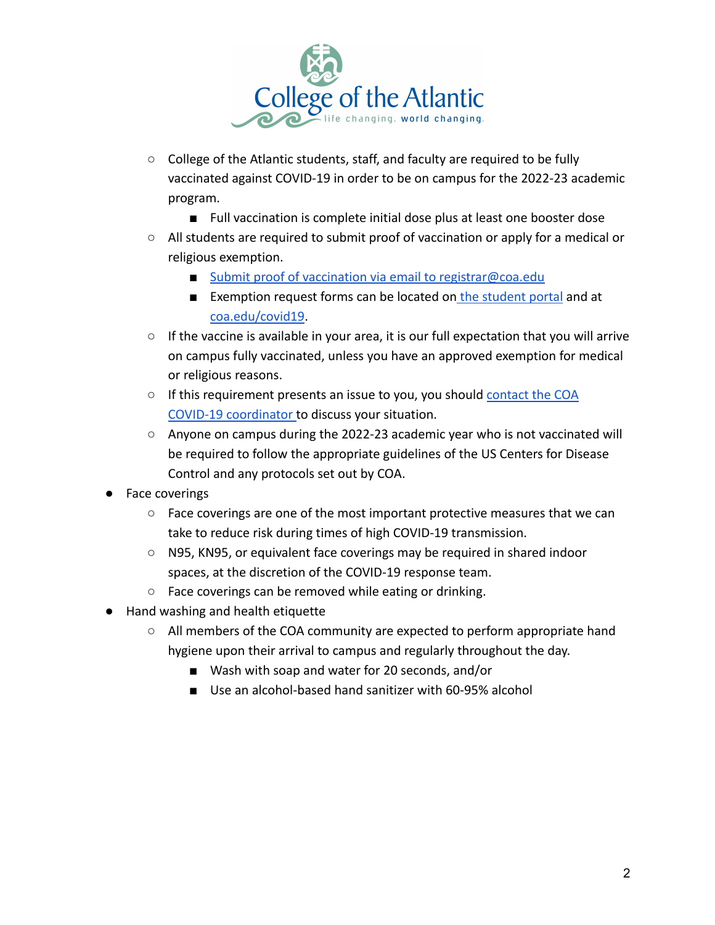

- College of the Atlantic students, staff, and faculty are required to be fully vaccinated against COVID-19 in order to be on campus for the 2022-23 academic program.
	- Full vaccination is complete initial dose plus at least one booster dose
- All students are required to submit proof of vaccination or apply for a medical or religious exemption.
	- [Submit proof of vaccination via email to registrar@coa.edu](mailto:registrar@coa.edu)
	- Exemption request forms can be located on [the student](https://dorr.coa.edu/estudent/login.asp) portal and at [coa.edu/covid19.](http://coa.edu/covid19)
- $\circ$  If the vaccine is available in your area, it is our full expectation that you will arrive on campus fully vaccinated, unless you have an approved exemption for medical or religious reasons.
- If this requirement presents an issue to you, you should [contact the COA](mailto:Covid19coordinator@coa.edu) [COVID-19 coordinator](mailto:Covid19coordinator@coa.edu) to discuss your situation.
- Anyone on campus during the 2022-23 academic year who is not vaccinated will be required to follow the appropriate guidelines of the US Centers for Disease Control and any protocols set out by COA.
- Face coverings
	- Face coverings are one of the most important protective measures that we can take to reduce risk during times of high COVID-19 transmission.
	- N95, KN95, or equivalent face coverings may be required in shared indoor spaces, at the discretion of the COVID-19 response team.
	- Face coverings can be removed while eating or drinking.
- Hand washing and health etiquette
	- All members of the COA community are expected to perform appropriate hand hygiene upon their arrival to campus and regularly throughout the day.
		- Wash with soap and water for 20 seconds, and/or
		- Use an alcohol-based hand sanitizer with 60-95% alcohol